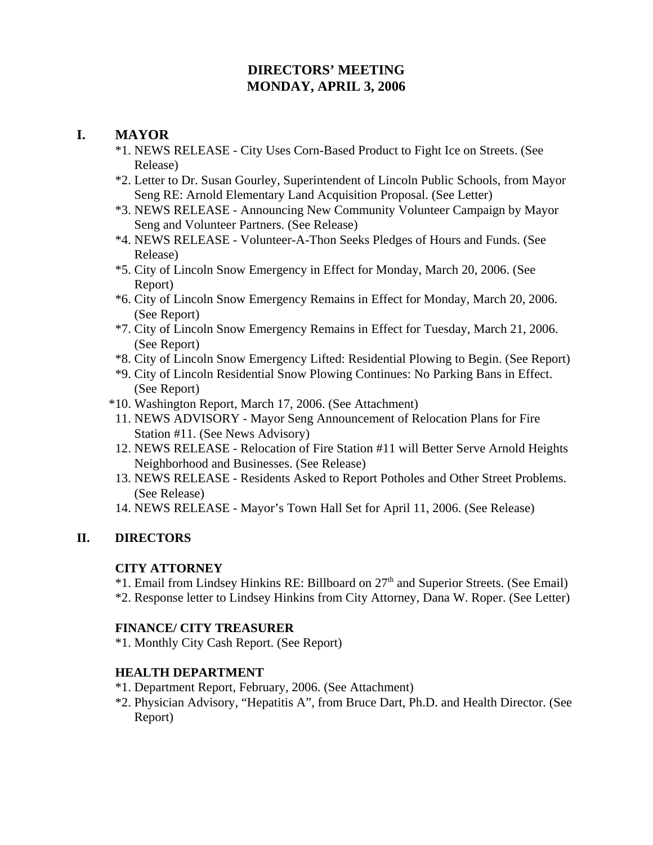# **DIRECTORS' MEETING MONDAY, APRIL 3, 2006**

# **I. MAYOR**

- \*1. NEWS RELEASE City Uses Corn-Based Product to Fight Ice on Streets. (See Release)
- \*2. Letter to Dr. Susan Gourley, Superintendent of Lincoln Public Schools, from Mayor Seng RE: Arnold Elementary Land Acquisition Proposal. (See Letter)
- \*3. NEWS RELEASE Announcing New Community Volunteer Campaign by Mayor Seng and Volunteer Partners. (See Release)
- \*4. NEWS RELEASE Volunteer-A-Thon Seeks Pledges of Hours and Funds. (See Release)
- \*5. City of Lincoln Snow Emergency in Effect for Monday, March 20, 2006. (See Report)
- \*6. City of Lincoln Snow Emergency Remains in Effect for Monday, March 20, 2006. (See Report)
- \*7. City of Lincoln Snow Emergency Remains in Effect for Tuesday, March 21, 2006. (See Report)
- \*8. City of Lincoln Snow Emergency Lifted: Residential Plowing to Begin. (See Report)
- \*9. City of Lincoln Residential Snow Plowing Continues: No Parking Bans in Effect. (See Report)
- \*10. Washington Report, March 17, 2006. (See Attachment)
- 11. NEWS ADVISORY Mayor Seng Announcement of Relocation Plans for Fire Station #11. (See News Advisory)
- 12. NEWS RELEASE Relocation of Fire Station #11 will Better Serve Arnold Heights Neighborhood and Businesses. (See Release)
- 13. NEWS RELEASE Residents Asked to Report Potholes and Other Street Problems. (See Release)
- 14. NEWS RELEASE Mayor's Town Hall Set for April 11, 2006. (See Release)

# **II. DIRECTORS**

# **CITY ATTORNEY**

\*1. Email from Lindsey Hinkins RE: Billboard on 27th and Superior Streets. (See Email) \*2. Response letter to Lindsey Hinkins from City Attorney, Dana W. Roper. (See Letter)

# **FINANCE/ CITY TREASURER**

\*1. Monthly City Cash Report. (See Report)

# **HEALTH DEPARTMENT**

- \*1. Department Report, February, 2006. (See Attachment)
- \*2. Physician Advisory, "Hepatitis A", from Bruce Dart, Ph.D. and Health Director. (See Report)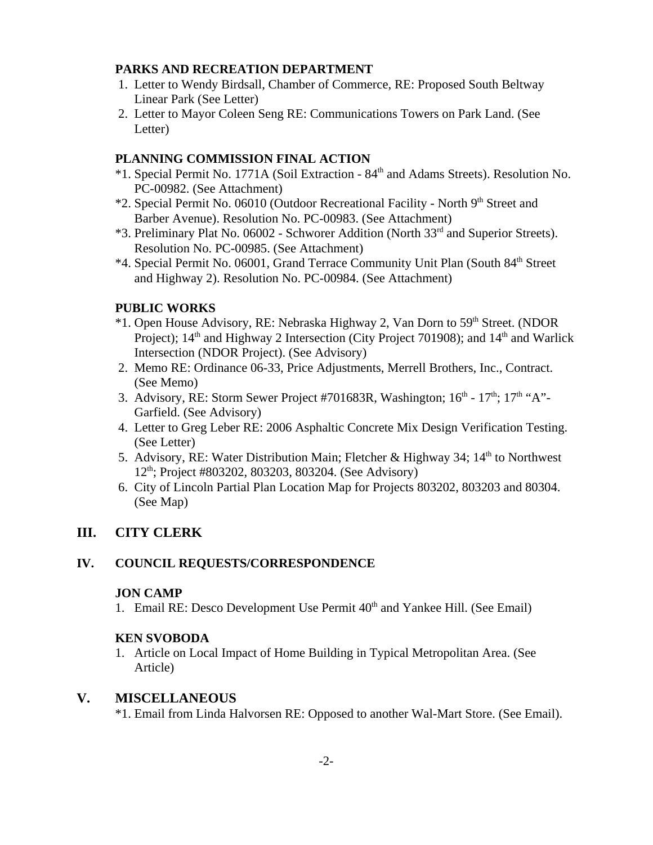## **PARKS AND RECREATION DEPARTMENT**

- 1. Letter to Wendy Birdsall, Chamber of Commerce, RE: Proposed South Beltway Linear Park (See Letter)
- 2. Letter to Mayor Coleen Seng RE: Communications Towers on Park Land. (See Letter)

## **PLANNING COMMISSION FINAL ACTION**

- \*1. Special Permit No. 1771A (Soil Extraction 84th and Adams Streets). Resolution No. PC-00982. (See Attachment)
- \*2. Special Permit No. 06010 (Outdoor Recreational Facility North 9<sup>th</sup> Street and Barber Avenue). Resolution No. PC-00983. (See Attachment)
- \*3. Preliminary Plat No. 06002 Schworer Addition (North 33rd and Superior Streets). Resolution No. PC-00985. (See Attachment)
- \*4. Special Permit No. 06001, Grand Terrace Community Unit Plan (South 84th Street and Highway 2). Resolution No. PC-00984. (See Attachment)

# **PUBLIC WORKS**

- \*1. Open House Advisory, RE: Nebraska Highway 2, Van Dorn to 59th Street. (NDOR Project); 14<sup>th</sup> and Highway 2 Intersection (City Project 701908); and 14<sup>th</sup> and Warlick Intersection (NDOR Project). (See Advisory)
- 2. Memo RE: Ordinance 06-33, Price Adjustments, Merrell Brothers, Inc., Contract. (See Memo)
- 3. Advisory, RE: Storm Sewer Project #701683R, Washington;  $16<sup>th</sup> 17<sup>th</sup>$ ;  $17<sup>th</sup>$  "A"-Garfield. (See Advisory)
- 4. Letter to Greg Leber RE: 2006 Asphaltic Concrete Mix Design Verification Testing. (See Letter)
- 5. Advisory, RE: Water Distribution Main; Fletcher & Highway 34; 14<sup>th</sup> to Northwest 12<sup>th</sup>; Project #803202, 803203, 803204. (See Advisory)
- 6. City of Lincoln Partial Plan Location Map for Projects 803202, 803203 and 80304. (See Map)

# **III. CITY CLERK**

# **IV. COUNCIL REQUESTS/CORRESPONDENCE**

# **JON CAMP**

1. Email RE: Desco Development Use Permit  $40<sup>th</sup>$  and Yankee Hill. (See Email)

# **KEN SVOBODA**

1. Article on Local Impact of Home Building in Typical Metropolitan Area. (See Article)

# **V. MISCELLANEOUS**

\*1. Email from Linda Halvorsen RE: Opposed to another Wal-Mart Store. (See Email).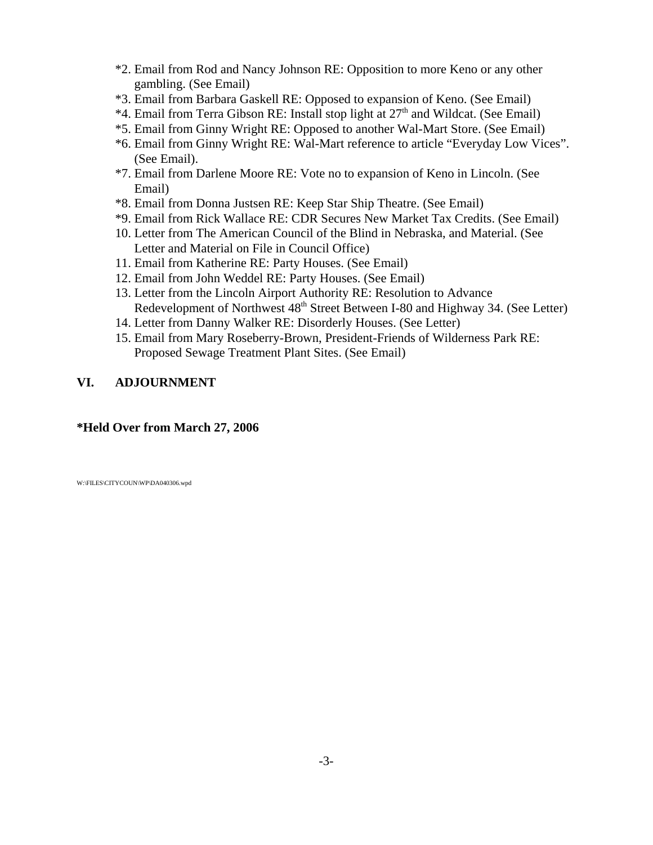- \*2. Email from Rod and Nancy Johnson RE: Opposition to more Keno or any other gambling. (See Email)
- \*3. Email from Barbara Gaskell RE: Opposed to expansion of Keno. (See Email)
- \*4. Email from Terra Gibson RE: Install stop light at 27<sup>th</sup> and Wildcat. (See Email)
- \*5. Email from Ginny Wright RE: Opposed to another Wal-Mart Store. (See Email)
- \*6. Email from Ginny Wright RE: Wal-Mart reference to article "Everyday Low Vices". (See Email).
- \*7. Email from Darlene Moore RE: Vote no to expansion of Keno in Lincoln. (See Email)
- \*8. Email from Donna Justsen RE: Keep Star Ship Theatre. (See Email)
- \*9. Email from Rick Wallace RE: CDR Secures New Market Tax Credits. (See Email)
- 10. Letter from The American Council of the Blind in Nebraska, and Material. (See Letter and Material on File in Council Office)
- 11. Email from Katherine RE: Party Houses. (See Email)
- 12. Email from John Weddel RE: Party Houses. (See Email)
- 13. Letter from the Lincoln Airport Authority RE: Resolution to Advance Redevelopment of Northwest 48<sup>th</sup> Street Between I-80 and Highway 34. (See Letter)
- 14. Letter from Danny Walker RE: Disorderly Houses. (See Letter)
- 15. Email from Mary Roseberry-Brown, President-Friends of Wilderness Park RE: Proposed Sewage Treatment Plant Sites. (See Email)

## **VI. ADJOURNMENT**

## **\*Held Over from March 27, 2006**

W:\FILES\CITYCOUN\WP\DA040306.wpd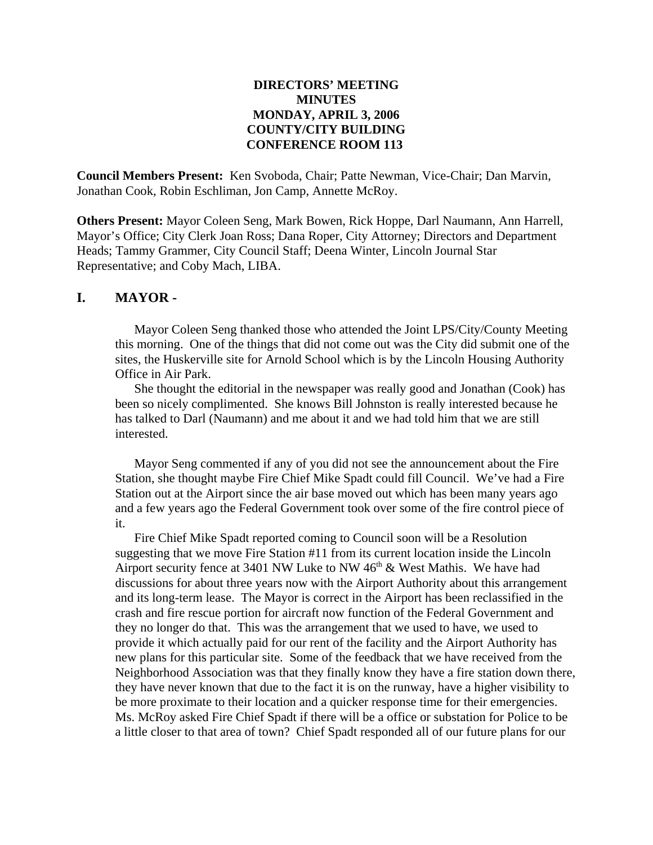# **DIRECTORS' MEETING MINUTES MONDAY, APRIL 3, 2006 COUNTY/CITY BUILDING CONFERENCE ROOM 113**

**Council Members Present:** Ken Svoboda, Chair; Patte Newman, Vice-Chair; Dan Marvin, Jonathan Cook, Robin Eschliman, Jon Camp, Annette McRoy.

**Others Present:** Mayor Coleen Seng, Mark Bowen, Rick Hoppe, Darl Naumann, Ann Harrell, Mayor's Office; City Clerk Joan Ross; Dana Roper, City Attorney; Directors and Department Heads; Tammy Grammer, City Council Staff; Deena Winter, Lincoln Journal Star Representative; and Coby Mach, LIBA.

## **I. MAYOR -**

Mayor Coleen Seng thanked those who attended the Joint LPS/City/County Meeting this morning. One of the things that did not come out was the City did submit one of the sites, the Huskerville site for Arnold School which is by the Lincoln Housing Authority Office in Air Park.

She thought the editorial in the newspaper was really good and Jonathan (Cook) has been so nicely complimented. She knows Bill Johnston is really interested because he has talked to Darl (Naumann) and me about it and we had told him that we are still interested.

Mayor Seng commented if any of you did not see the announcement about the Fire Station, she thought maybe Fire Chief Mike Spadt could fill Council. We've had a Fire Station out at the Airport since the air base moved out which has been many years ago and a few years ago the Federal Government took over some of the fire control piece of it.

Fire Chief Mike Spadt reported coming to Council soon will be a Resolution suggesting that we move Fire Station #11 from its current location inside the Lincoln Airport security fence at 3401 NW Luke to NW  $46<sup>th</sup>$  & West Mathis. We have had discussions for about three years now with the Airport Authority about this arrangement and its long-term lease. The Mayor is correct in the Airport has been reclassified in the crash and fire rescue portion for aircraft now function of the Federal Government and they no longer do that. This was the arrangement that we used to have, we used to provide it which actually paid for our rent of the facility and the Airport Authority has new plans for this particular site. Some of the feedback that we have received from the Neighborhood Association was that they finally know they have a fire station down there, they have never known that due to the fact it is on the runway, have a higher visibility to be more proximate to their location and a quicker response time for their emergencies. Ms. McRoy asked Fire Chief Spadt if there will be a office or substation for Police to be a little closer to that area of town? Chief Spadt responded all of our future plans for our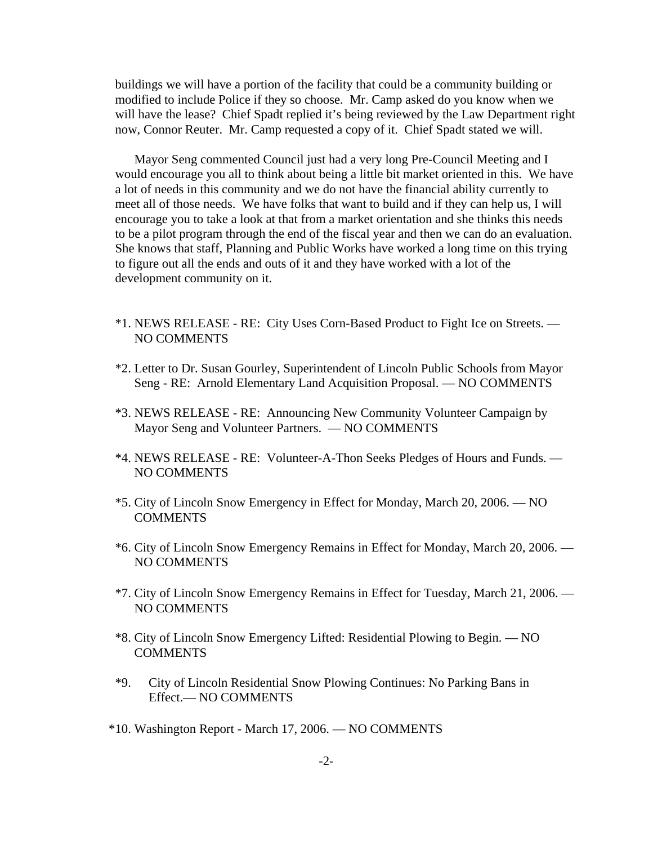buildings we will have a portion of the facility that could be a community building or modified to include Police if they so choose. Mr. Camp asked do you know when we will have the lease? Chief Spadt replied it's being reviewed by the Law Department right now, Connor Reuter. Mr. Camp requested a copy of it. Chief Spadt stated we will.

Mayor Seng commented Council just had a very long Pre-Council Meeting and I would encourage you all to think about being a little bit market oriented in this. We have a lot of needs in this community and we do not have the financial ability currently to meet all of those needs. We have folks that want to build and if they can help us, I will encourage you to take a look at that from a market orientation and she thinks this needs to be a pilot program through the end of the fiscal year and then we can do an evaluation. She knows that staff, Planning and Public Works have worked a long time on this trying to figure out all the ends and outs of it and they have worked with a lot of the development community on it.

- \*1. NEWS RELEASE RE: City Uses Corn-Based Product to Fight Ice on Streets. NO COMMENTS
- \*2. Letter to Dr. Susan Gourley, Superintendent of Lincoln Public Schools from Mayor Seng - RE: Arnold Elementary Land Acquisition Proposal. — NO COMMENTS
- \*3. NEWS RELEASE RE: Announcing New Community Volunteer Campaign by Mayor Seng and Volunteer Partners. — NO COMMENTS
- \*4. NEWS RELEASE RE: Volunteer-A-Thon Seeks Pledges of Hours and Funds. NO COMMENTS
- \*5. City of Lincoln Snow Emergency in Effect for Monday, March 20, 2006. NO **COMMENTS**
- \*6. City of Lincoln Snow Emergency Remains in Effect for Monday, March 20, 2006. NO COMMENTS
- \*7. City of Lincoln Snow Emergency Remains in Effect for Tuesday, March 21, 2006. NO COMMENTS
- \*8. City of Lincoln Snow Emergency Lifted: Residential Plowing to Begin. NO **COMMENTS**
- \*9. City of Lincoln Residential Snow Plowing Continues: No Parking Bans in Effect.— NO COMMENTS
- \*10. Washington Report March 17, 2006. NO COMMENTS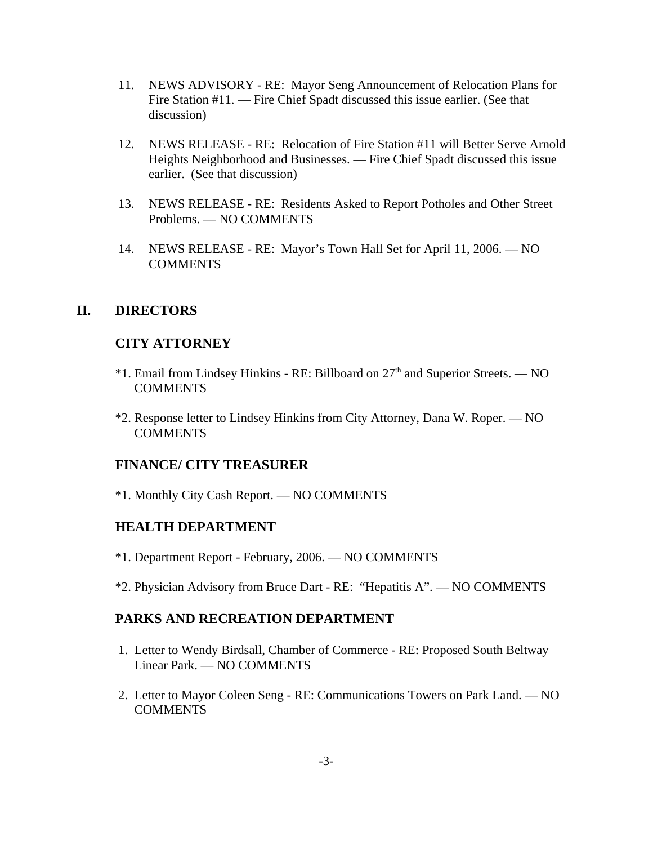- 11. NEWS ADVISORY RE: Mayor Seng Announcement of Relocation Plans for Fire Station #11. — Fire Chief Spadt discussed this issue earlier. (See that discussion)
- 12. NEWS RELEASE RE: Relocation of Fire Station #11 will Better Serve Arnold Heights Neighborhood and Businesses. — Fire Chief Spadt discussed this issue earlier. (See that discussion)
- 13. NEWS RELEASE RE: Residents Asked to Report Potholes and Other Street Problems. — NO COMMENTS
- 14. NEWS RELEASE RE: Mayor's Town Hall Set for April 11, 2006. NO **COMMENTS**

# **II. DIRECTORS**

# **CITY ATTORNEY**

- \*1. Email from Lindsey Hinkins RE: Billboard on 27th and Superior Streets. NO **COMMENTS**
- \*2. Response letter to Lindsey Hinkins from City Attorney, Dana W. Roper. NO **COMMENTS**

# **FINANCE/ CITY TREASURER**

\*1. Monthly City Cash Report. — NO COMMENTS

# **HEALTH DEPARTMENT**

- \*1. Department Report February, 2006. NO COMMENTS
- \*2. Physician Advisory from Bruce Dart RE: "Hepatitis A". NO COMMENTS

# **PARKS AND RECREATION DEPARTMENT**

- 1. Letter to Wendy Birdsall, Chamber of Commerce RE: Proposed South Beltway Linear Park. — NO COMMENTS
- 2. Letter to Mayor Coleen Seng RE: Communications Towers on Park Land. NO **COMMENTS**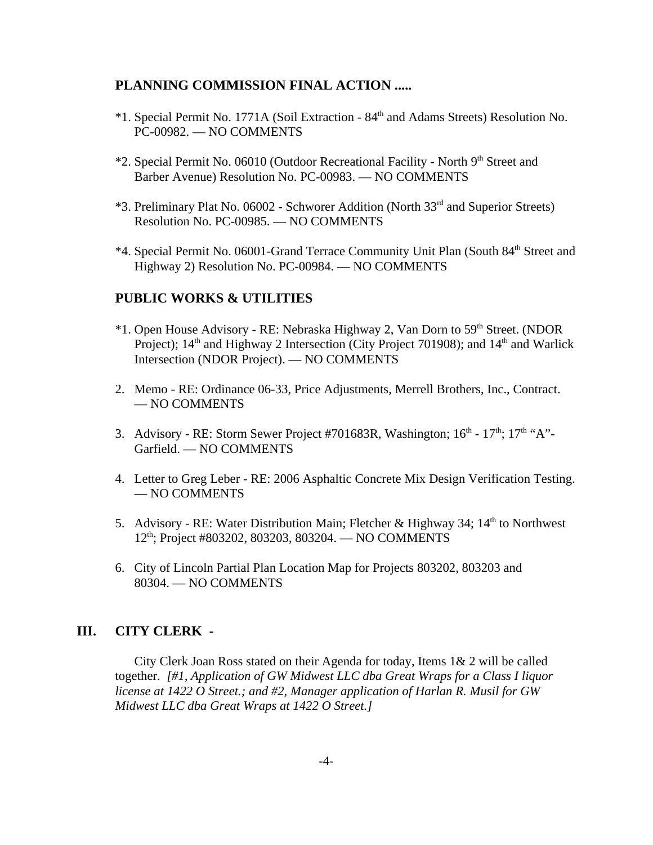## **PLANNING COMMISSION FINAL ACTION .....**

- \*1. Special Permit No. 1771A (Soil Extraction 84th and Adams Streets) Resolution No. PC-00982. — NO COMMENTS
- \*2. Special Permit No. 06010 (Outdoor Recreational Facility North 9<sup>th</sup> Street and Barber Avenue) Resolution No. PC-00983. — NO COMMENTS
- \*3. Preliminary Plat No. 06002 Schworer Addition (North 33rd and Superior Streets) Resolution No. PC-00985. — NO COMMENTS
- \*4. Special Permit No. 06001-Grand Terrace Community Unit Plan (South 84<sup>th</sup> Street and Highway 2) Resolution No. PC-00984. — NO COMMENTS

## **PUBLIC WORKS & UTILITIES**

- \*1. Open House Advisory RE: Nebraska Highway 2, Van Dorn to 59th Street. (NDOR Project);  $14<sup>th</sup>$  and Highway 2 Intersection (City Project 701908); and  $14<sup>th</sup>$  and Warlick Intersection (NDOR Project). — NO COMMENTS
- 2. Memo RE: Ordinance 06-33, Price Adjustments, Merrell Brothers, Inc., Contract. — NO COMMENTS
- 3. Advisory RE: Storm Sewer Project #701683R, Washington;  $16<sup>th</sup>$   $17<sup>th</sup>$ :  $17<sup>th</sup>$  "A"-Garfield. — NO COMMENTS
- 4. Letter to Greg Leber RE: 2006 Asphaltic Concrete Mix Design Verification Testing. — NO COMMENTS
- 5. Advisory RE: Water Distribution Main; Fletcher & Highway 34; 14<sup>th</sup> to Northwest 12<sup>th</sup>; Project #803202, 803203, 803204. — NO COMMENTS
- 6. City of Lincoln Partial Plan Location Map for Projects 803202, 803203 and 80304. — NO COMMENTS

# **III. CITY CLERK -**

City Clerk Joan Ross stated on their Agenda for today, Items 1& 2 will be called together. *[#1, Application of GW Midwest LLC dba Great Wraps for a Class I liquor license at 1422 O Street.; and #2, Manager application of Harlan R. Musil for GW Midwest LLC dba Great Wraps at 1422 O Street.]*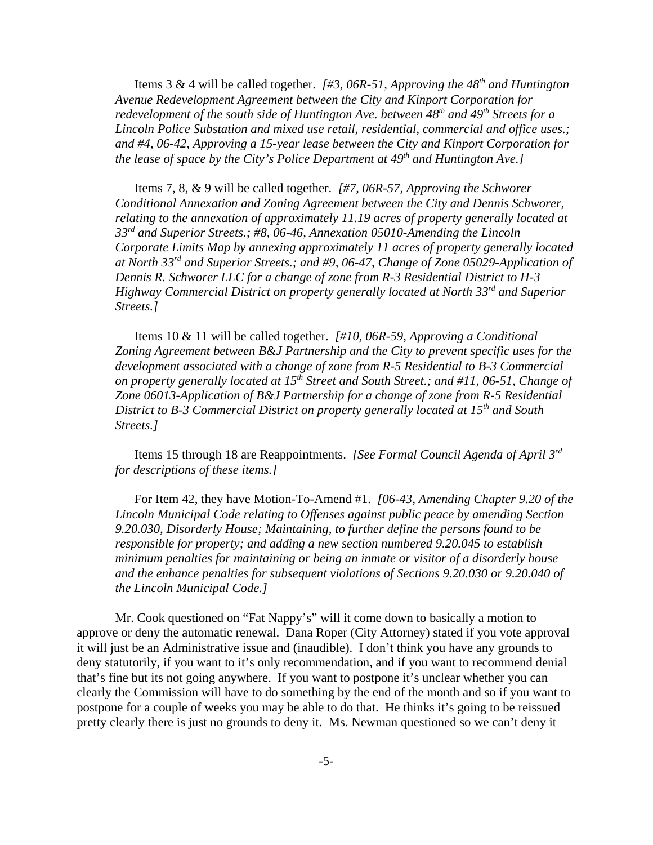Items 3 & 4 will be called together. *[#3, 06R-51, Approving the 48th and Huntington Avenue Redevelopment Agreement between the City and Kinport Corporation for* redevelopment of the south side of Huntington Ave. between 48<sup>th</sup> and 49<sup>th</sup> Streets for a *Lincoln Police Substation and mixed use retail, residential, commercial and office uses.; and #4, 06-42, Approving a 15-year lease between the City and Kinport Corporation for the lease of space by the City's Police Department at 49<sup>th</sup> and Huntington Ave.]* 

Items 7, 8, & 9 will be called together. *[#7, 06R-57, Approving the Schworer Conditional Annexation and Zoning Agreement between the City and Dennis Schworer, relating to the annexation of approximately 11.19 acres of property generally located at 33rd and Superior Streets.; #8, 06-46, Annexation 05010-Amending the Lincoln Corporate Limits Map by annexing approximately 11 acres of property generally located at North 33rd and Superior Streets.; and #9, 06-47, Change of Zone 05029-Application of Dennis R. Schworer LLC for a change of zone from R-3 Residential District to H-3 Highway Commercial District on property generally located at North 33rd and Superior Streets.]* 

Items 10 & 11 will be called together. *[#10, 06R-59, Approving a Conditional Zoning Agreement between B&J Partnership and the City to prevent specific uses for the development associated with a change of zone from R-5 Residential to B-3 Commercial on property generally located at 15th Street and South Street.; and #11, 06-51, Change of Zone 06013-Application of B&J Partnership for a change of zone from R-5 Residential District to B-3 Commercial District on property generally located at 15<sup>th</sup> and South Streets.]* 

Items 15 through 18 are Reappointments. *[See Formal Council Agenda of April 3rd for descriptions of these items.]* 

For Item 42, they have Motion-To-Amend #1. *[06-43, Amending Chapter 9.20 of the Lincoln Municipal Code relating to Offenses against public peace by amending Section 9.20.030, Disorderly House; Maintaining, to further define the persons found to be responsible for property; and adding a new section numbered 9.20.045 to establish minimum penalties for maintaining or being an inmate or visitor of a disorderly house and the enhance penalties for subsequent violations of Sections 9.20.030 or 9.20.040 of the Lincoln Municipal Code.]* 

Mr. Cook questioned on "Fat Nappy's" will it come down to basically a motion to approve or deny the automatic renewal. Dana Roper (City Attorney) stated if you vote approval it will just be an Administrative issue and (inaudible). I don't think you have any grounds to deny statutorily, if you want to it's only recommendation, and if you want to recommend denial that's fine but its not going anywhere. If you want to postpone it's unclear whether you can clearly the Commission will have to do something by the end of the month and so if you want to postpone for a couple of weeks you may be able to do that. He thinks it's going to be reissued pretty clearly there is just no grounds to deny it. Ms. Newman questioned so we can't deny it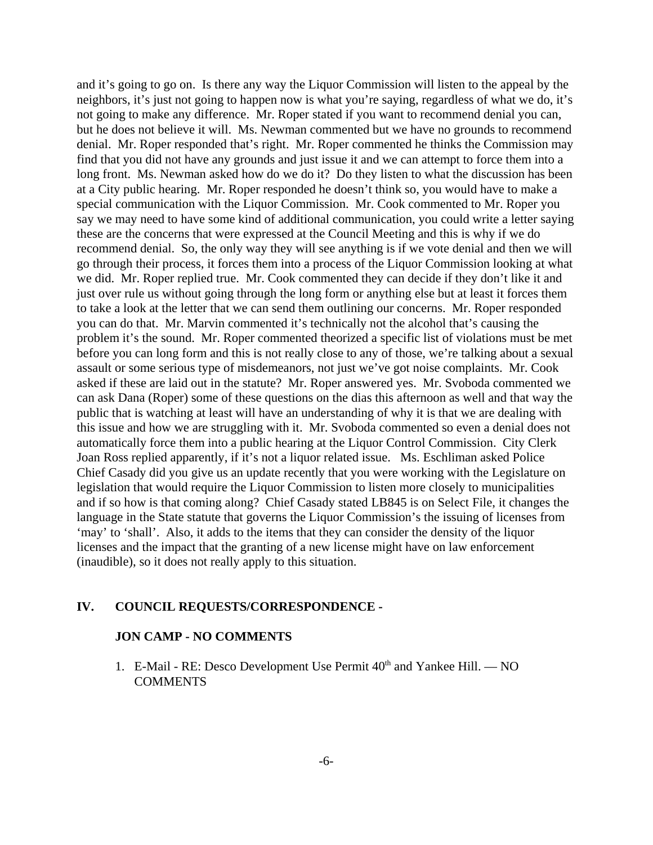and it's going to go on. Is there any way the Liquor Commission will listen to the appeal by the neighbors, it's just not going to happen now is what you're saying, regardless of what we do, it's not going to make any difference. Mr. Roper stated if you want to recommend denial you can, but he does not believe it will. Ms. Newman commented but we have no grounds to recommend denial. Mr. Roper responded that's right. Mr. Roper commented he thinks the Commission may find that you did not have any grounds and just issue it and we can attempt to force them into a long front. Ms. Newman asked how do we do it? Do they listen to what the discussion has been at a City public hearing. Mr. Roper responded he doesn't think so, you would have to make a special communication with the Liquor Commission. Mr. Cook commented to Mr. Roper you say we may need to have some kind of additional communication, you could write a letter saying these are the concerns that were expressed at the Council Meeting and this is why if we do recommend denial. So, the only way they will see anything is if we vote denial and then we will go through their process, it forces them into a process of the Liquor Commission looking at what we did. Mr. Roper replied true. Mr. Cook commented they can decide if they don't like it and just over rule us without going through the long form or anything else but at least it forces them to take a look at the letter that we can send them outlining our concerns. Mr. Roper responded you can do that. Mr. Marvin commented it's technically not the alcohol that's causing the problem it's the sound. Mr. Roper commented theorized a specific list of violations must be met before you can long form and this is not really close to any of those, we're talking about a sexual assault or some serious type of misdemeanors, not just we've got noise complaints. Mr. Cook asked if these are laid out in the statute? Mr. Roper answered yes. Mr. Svoboda commented we can ask Dana (Roper) some of these questions on the dias this afternoon as well and that way the public that is watching at least will have an understanding of why it is that we are dealing with this issue and how we are struggling with it. Mr. Svoboda commented so even a denial does not automatically force them into a public hearing at the Liquor Control Commission. City Clerk Joan Ross replied apparently, if it's not a liquor related issue. Ms. Eschliman asked Police Chief Casady did you give us an update recently that you were working with the Legislature on legislation that would require the Liquor Commission to listen more closely to municipalities and if so how is that coming along? Chief Casady stated LB845 is on Select File, it changes the language in the State statute that governs the Liquor Commission's the issuing of licenses from 'may' to 'shall'. Also, it adds to the items that they can consider the density of the liquor licenses and the impact that the granting of a new license might have on law enforcement (inaudible), so it does not really apply to this situation.

### **IV. COUNCIL REQUESTS/CORRESPONDENCE -**

## **JON CAMP - NO COMMENTS**

1. E-Mail - RE: Desco Development Use Permit  $40<sup>th</sup>$  and Yankee Hill. — NO **COMMENTS**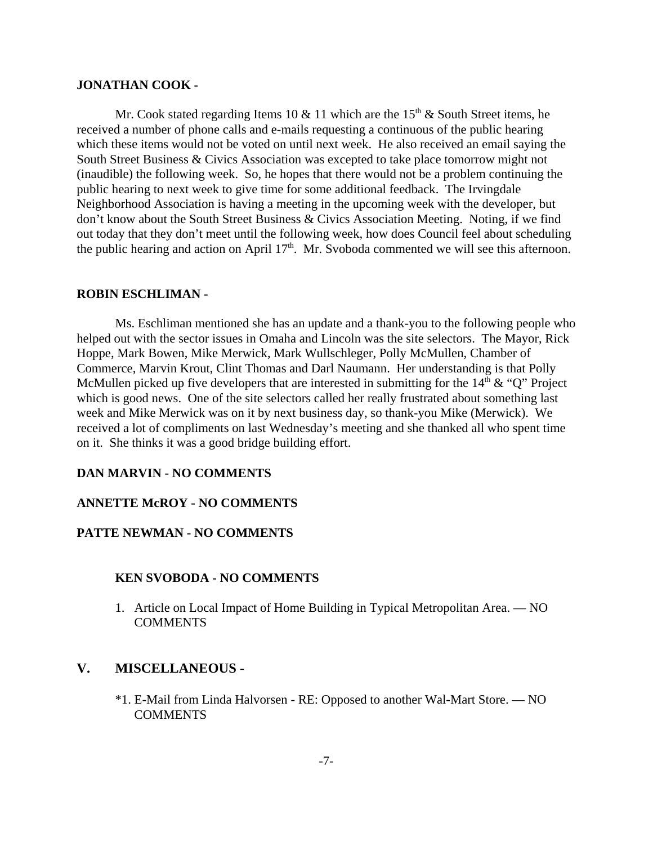#### **JONATHAN COOK -**

Mr. Cook stated regarding Items 10  $\&$  11 which are the 15<sup>th</sup>  $\&$  South Street items, he received a number of phone calls and e-mails requesting a continuous of the public hearing which these items would not be voted on until next week. He also received an email saying the South Street Business & Civics Association was excepted to take place tomorrow might not (inaudible) the following week. So, he hopes that there would not be a problem continuing the public hearing to next week to give time for some additional feedback. The Irvingdale Neighborhood Association is having a meeting in the upcoming week with the developer, but don't know about the South Street Business & Civics Association Meeting. Noting, if we find out today that they don't meet until the following week, how does Council feel about scheduling the public hearing and action on April  $17<sup>th</sup>$ . Mr. Svoboda commented we will see this afternoon.

#### **ROBIN ESCHLIMAN -**

Ms. Eschliman mentioned she has an update and a thank-you to the following people who helped out with the sector issues in Omaha and Lincoln was the site selectors. The Mayor, Rick Hoppe, Mark Bowen, Mike Merwick, Mark Wullschleger, Polly McMullen, Chamber of Commerce, Marvin Krout, Clint Thomas and Darl Naumann. Her understanding is that Polly McMullen picked up five developers that are interested in submitting for the  $14<sup>th</sup> \& ^\circ$   $Q$ " Project which is good news. One of the site selectors called her really frustrated about something last week and Mike Merwick was on it by next business day, so thank-you Mike (Merwick). We received a lot of compliments on last Wednesday's meeting and she thanked all who spent time on it. She thinks it was a good bridge building effort.

### **DAN MARVIN - NO COMMENTS**

#### **ANNETTE McROY - NO COMMENTS**

#### **PATTE NEWMAN - NO COMMENTS**

#### **KEN SVOBODA - NO COMMENTS**

1. Article on Local Impact of Home Building in Typical Metropolitan Area. — NO **COMMENTS** 

## **V. MISCELLANEOUS** -

\*1. E-Mail from Linda Halvorsen - RE: Opposed to another Wal-Mart Store. — NO COMMENTS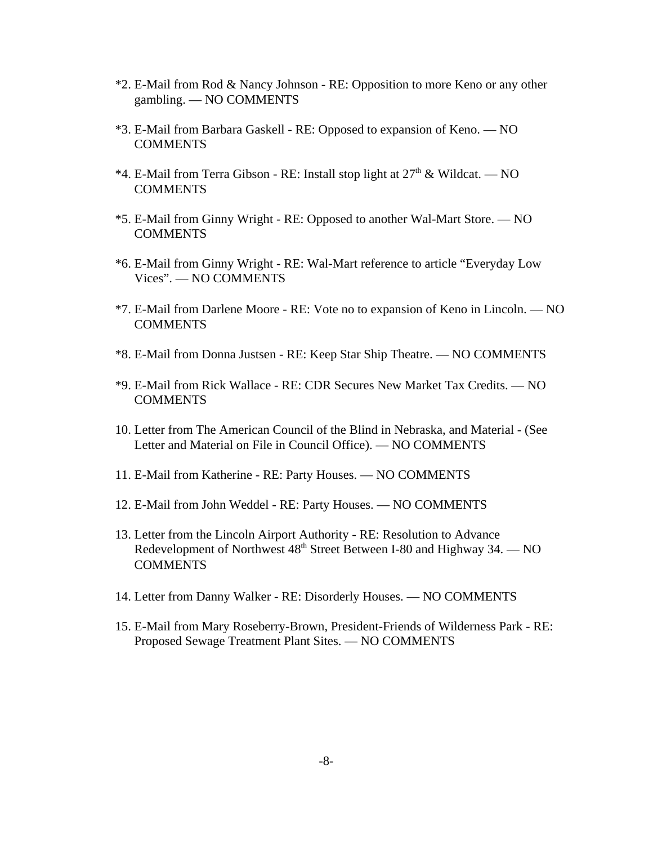- \*2. E-Mail from Rod & Nancy Johnson RE: Opposition to more Keno or any other gambling. — NO COMMENTS
- \*3. E-Mail from Barbara Gaskell RE: Opposed to expansion of Keno. NO COMMENTS
- \*4. E-Mail from Terra Gibson RE: Install stop light at  $27<sup>th</sup>$  & Wildcat. NO **COMMENTS**
- \*5. E-Mail from Ginny Wright RE: Opposed to another Wal-Mart Store. NO **COMMENTS**
- \*6. E-Mail from Ginny Wright RE: Wal-Mart reference to article "Everyday Low Vices". — NO COMMENTS
- \*7. E-Mail from Darlene Moore RE: Vote no to expansion of Keno in Lincoln. NO **COMMENTS**
- \*8. E-Mail from Donna Justsen RE: Keep Star Ship Theatre. NO COMMENTS
- \*9. E-Mail from Rick Wallace RE: CDR Secures New Market Tax Credits. NO **COMMENTS**
- 10. Letter from The American Council of the Blind in Nebraska, and Material (See Letter and Material on File in Council Office). — NO COMMENTS
- 11. E-Mail from Katherine RE: Party Houses. NO COMMENTS
- 12. E-Mail from John Weddel RE: Party Houses. NO COMMENTS
- 13. Letter from the Lincoln Airport Authority RE: Resolution to Advance Redevelopment of Northwest  $48<sup>th</sup>$  Street Between I-80 and Highway 34. — NO COMMENTS
- 14. Letter from Danny Walker RE: Disorderly Houses. NO COMMENTS
- 15. E-Mail from Mary Roseberry-Brown, President-Friends of Wilderness Park RE: Proposed Sewage Treatment Plant Sites. — NO COMMENTS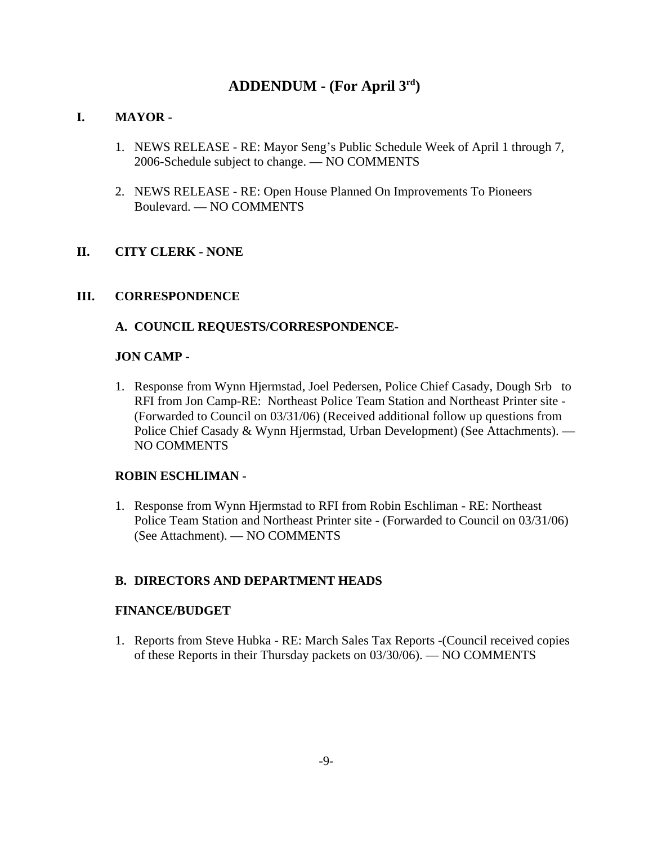# **ADDENDUM - (For April 3rd)**

## **I. MAYOR -**

- 1. NEWS RELEASE RE: Mayor Seng's Public Schedule Week of April 1 through 7, 2006-Schedule subject to change. — NO COMMENTS
- 2. NEWS RELEASE RE: Open House Planned On Improvements To Pioneers Boulevard. — NO COMMENTS

# **II. CITY CLERK - NONE**

## **III. CORRESPONDENCE**

## **A. COUNCIL REQUESTS/CORRESPONDENCE-**

## **JON CAMP -**

1. Response from Wynn Hjermstad, Joel Pedersen, Police Chief Casady, Dough Srb to RFI from Jon Camp-RE: Northeast Police Team Station and Northeast Printer site - (Forwarded to Council on 03/31/06) (Received additional follow up questions from Police Chief Casady & Wynn Hjermstad, Urban Development) (See Attachments). — NO COMMENTS

## **ROBIN ESCHLIMAN -**

1. Response from Wynn Hjermstad to RFI from Robin Eschliman - RE: Northeast Police Team Station and Northeast Printer site - (Forwarded to Council on 03/31/06) (See Attachment). — NO COMMENTS

## **B. DIRECTORS AND DEPARTMENT HEADS**

## **FINANCE/BUDGET**

1. Reports from Steve Hubka - RE: March Sales Tax Reports -(Council received copies of these Reports in their Thursday packets on 03/30/06). — NO COMMENTS